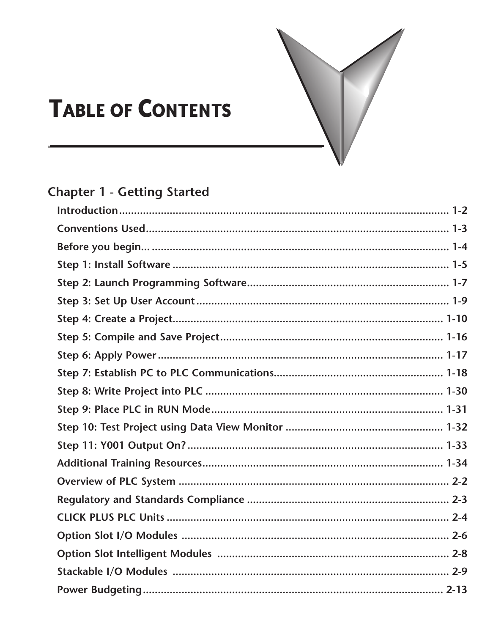

# **TABLE OF CONTENTS**

## **Chapter 1 - Getting Started**

<span id="page-0-0"></span>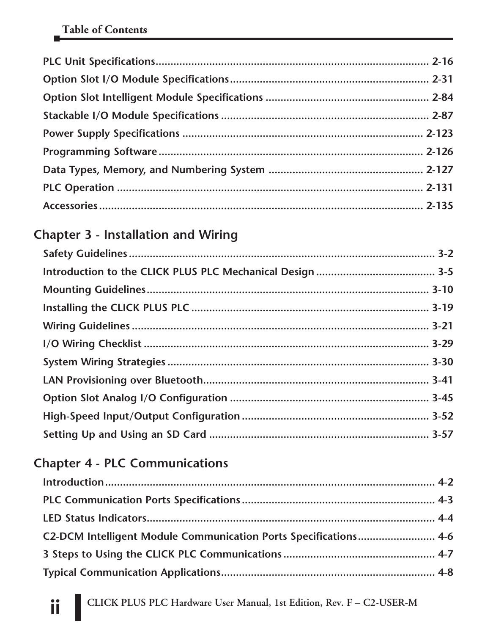<span id="page-1-0"></span>

#### **[Chapter 3 - Installation and Wiring](#page-0-0)**

#### **[Chapter 4 - PLC Communications](#page-0-0)**

| C2-DCM Intelligent Module Communication Ports Specifications 4-6 |  |
|------------------------------------------------------------------|--|
|                                                                  |  |
|                                                                  |  |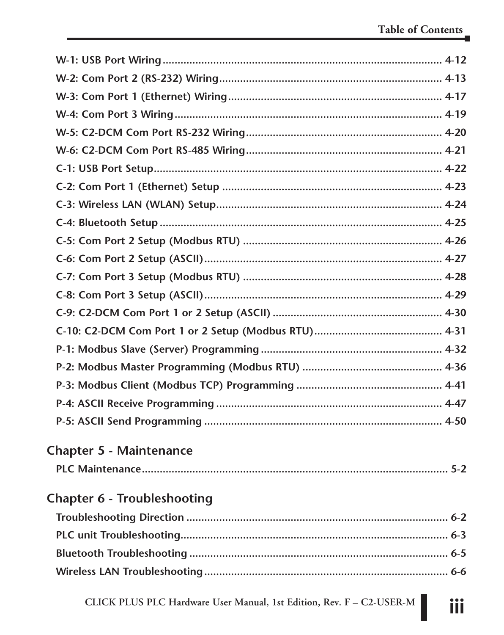<span id="page-2-0"></span>

| <b>Chapter 5 - Maintenance</b> |  |  |  |  |
|--------------------------------|--|--|--|--|
|                                |  |  |  |  |
| Chapter 6 - Troubleshooting    |  |  |  |  |
|                                |  |  |  |  |
|                                |  |  |  |  |
|                                |  |  |  |  |
|                                |  |  |  |  |